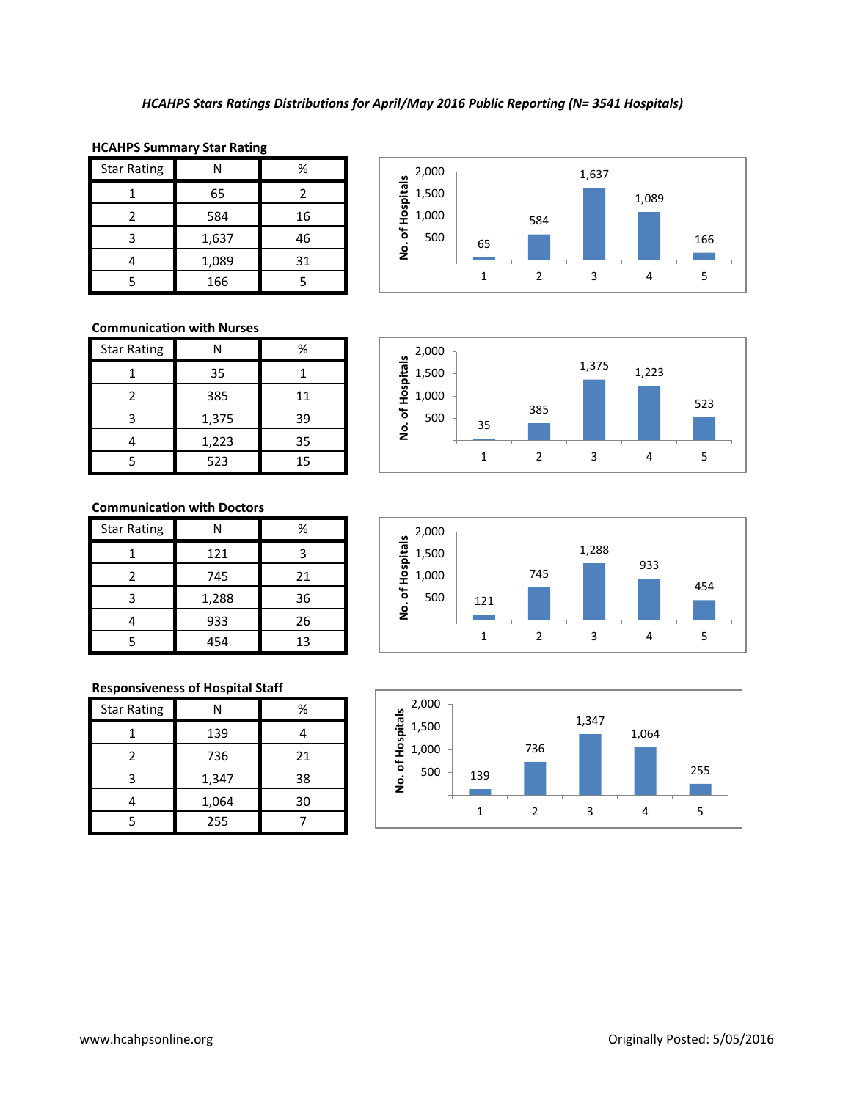| <b>Star Rating</b> | Ν     | %  |
|--------------------|-------|----|
|                    | 65    | 2  |
|                    | 584   | 16 |
|                    | 1,637 | 46 |
|                    | 1,089 | 31 |
|                    | 166   |    |



1,375 1,223

1 2 3 4 5

523

## **HCAHPS Summary Star Rating**

# **Communication with Nurses**

| <b>Star Rating</b> |       | %  |
|--------------------|-------|----|
|                    | 35    |    |
| 2                  | 385   | 11 |
| ς                  | 1,375 | 39 |
|                    | 1,223 | 35 |
| 5                  | 523   | 15 |

# **Communication with Doctors**

| <b>Star Rating</b> |       | %  |
|--------------------|-------|----|
|                    | 121   |    |
| 2                  | 745   | 21 |
|                    | 1,288 | 36 |
|                    | 933   | 26 |
|                    | 454   | 13 |

## **Responsiveness of Hospital Staff**

| <b>Star Rating</b> |       | %  |
|--------------------|-------|----|
|                    | 139   |    |
|                    | 736   | 21 |
|                    | 1,347 | 38 |
|                    | 1,064 | 30 |
|                    | 255   |    |



385

35

500 1,000 1,500 2,000

**No. of Hospitals**

No. of Hospitals

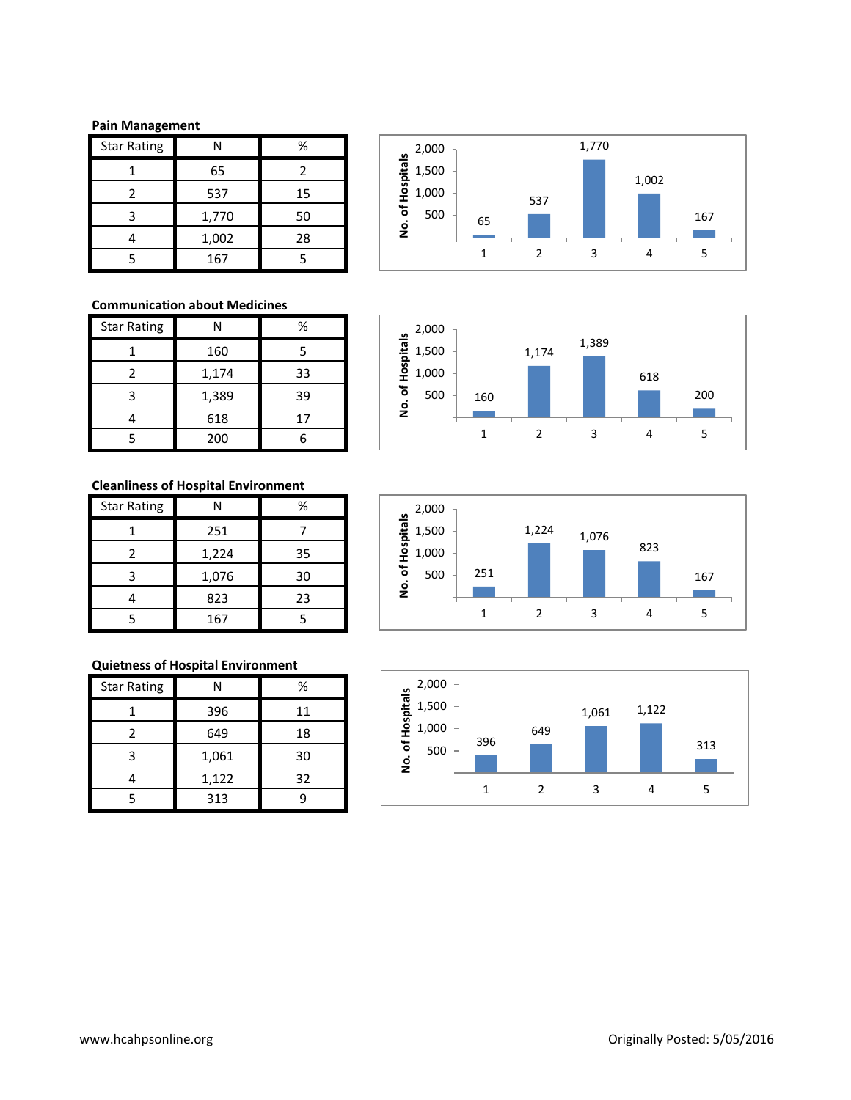### **Pain Management**

| <b>Star Rating</b> |       | %  |
|--------------------|-------|----|
|                    | 65    | 2  |
| 2                  | 537   | 15 |
| 3                  | 1,770 | 50 |
|                    | 1,002 | 28 |
| 5                  | 167   | 5  |

### **Communication about Medicines**

| <b>Star Rating</b> | N     | %  |
|--------------------|-------|----|
|                    | 160   | 5  |
| 2                  | 1,174 | 33 |
| ς                  | 1,389 | 39 |
|                    | 618   | 17 |
| 5                  | 200   |    |

# **Cleanliness of Hospital Environment**

| <b>Star Rating</b> |       | %  |
|--------------------|-------|----|
|                    | 251   |    |
| 2                  | 1,224 | 35 |
| ੨                  | 1,076 | 30 |
|                    | 823   | 23 |
|                    | 167   |    |

# **Quietness of Hospital Environment**

| <b>Star Rating</b> | N     | %  |
|--------------------|-------|----|
|                    | 396   | 11 |
|                    | 649   | 18 |
| ว                  | 1,061 | 30 |
|                    | 1,122 | 32 |
|                    | 313   |    |